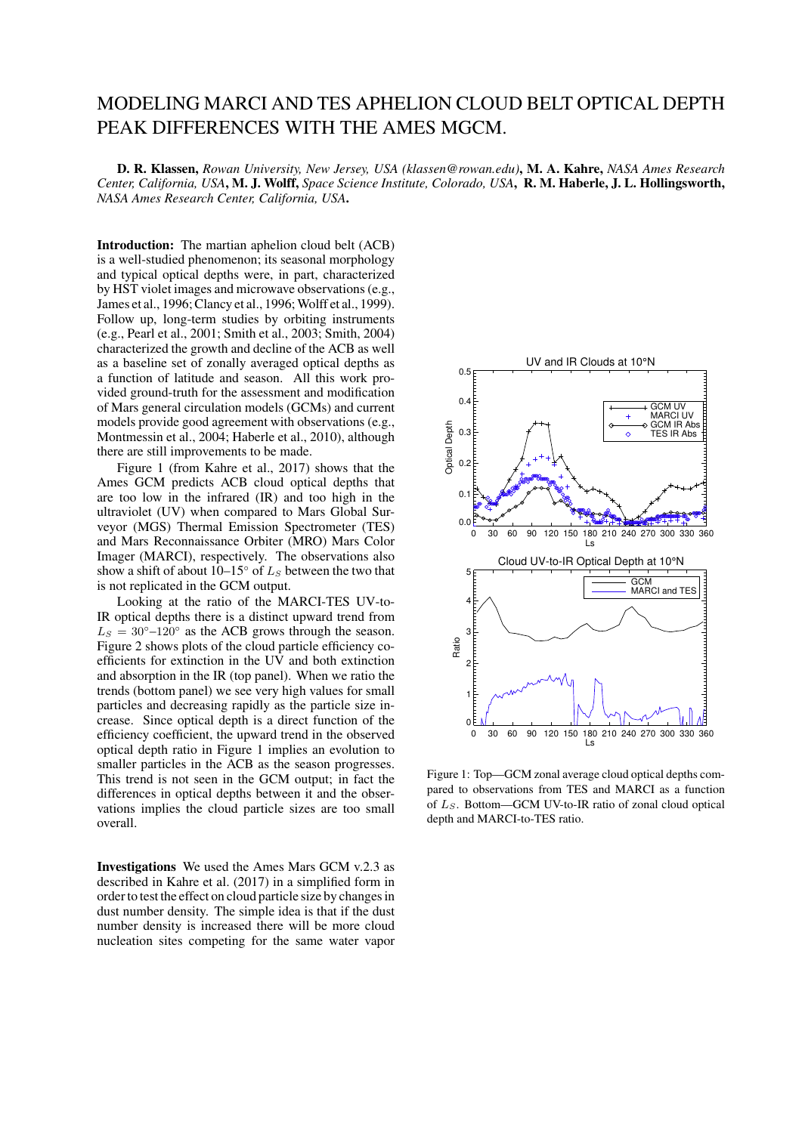## MODELING MARCI AND TES APHELION CLOUD BELT OPTICAL DEPTH PEAK DIFFERENCES WITH THE AMES MGCM.

D. R. Klassen, *Rowan University, New Jersey, USA (klassen@rowan.edu)*, M. A. Kahre, *NASA Ames Research Center, California, USA*, M. J. Wolff, *Space Science Institute, Colorado, USA*, R. M. Haberle, J. L. Hollingsworth, *NASA Ames Research Center, California, USA*.

Introduction: The martian aphelion cloud belt (ACB) is a well-studied phenomenon; its seasonal morphology and typical optical depths were, in part, characterized by HST violet images and microwave observations (e.g., James et al., 1996; Clancy et al., 1996; Wolff et al., 1999). Follow up, long-term studies by orbiting instruments (e.g., Pearl et al., 2001; Smith et al., 2003; Smith, 2004) characterized the growth and decline of the ACB as well as a baseline set of zonally averaged optical depths as a function of latitude and season. All this work provided ground-truth for the assessment and modification of Mars general circulation models (GCMs) and current models provide good agreement with observations (e.g., Montmessin et al., 2004; Haberle et al., 2010), although there are still improvements to be made.

Figure 1 (from Kahre et al., 2017) shows that the Ames GCM predicts ACB cloud optical depths that are too low in the infrared (IR) and too high in the ultraviolet (UV) when compared to Mars Global Surveyor (MGS) Thermal Emission Spectrometer (TES) and Mars Reconnaissance Orbiter (MRO) Mars Color Imager (MARCI), respectively. The observations also show a shift of about  $10-15°$  of  $L<sub>S</sub>$  between the two that is not replicated in the GCM output.

Looking at the ratio of the MARCI-TES UV-to-IR optical depths there is a distinct upward trend from  $L<sub>S</sub> = 30°-120°$  as the ACB grows through the season. Figure 2 shows plots of the cloud particle efficiency coefficients for extinction in the UV and both extinction and absorption in the IR (top panel). When we ratio the trends (bottom panel) we see very high values for small particles and decreasing rapidly as the particle size increase. Since optical depth is a direct function of the efficiency coefficient, the upward trend in the observed optical depth ratio in Figure 1 implies an evolution to smaller particles in the ACB as the season progresses. This trend is not seen in the GCM output; in fact the differences in optical depths between it and the observations implies the cloud particle sizes are too small overall.

Investigations We used the Ames Mars GCM v.2.3 as described in Kahre et al. (2017) in a simplified form in order to test the effect on cloud particle size by changes in dust number density. The simple idea is that if the dust number density is increased there will be more cloud nucleation sites competing for the same water vapor



Figure 1: Top—GCM zonal average cloud optical depths compared to observations from TES and MARCI as a function of  $L<sub>S</sub>$ . Bottom—GCM UV-to-IR ratio of zonal cloud optical depth and MARCI-to-TES ratio.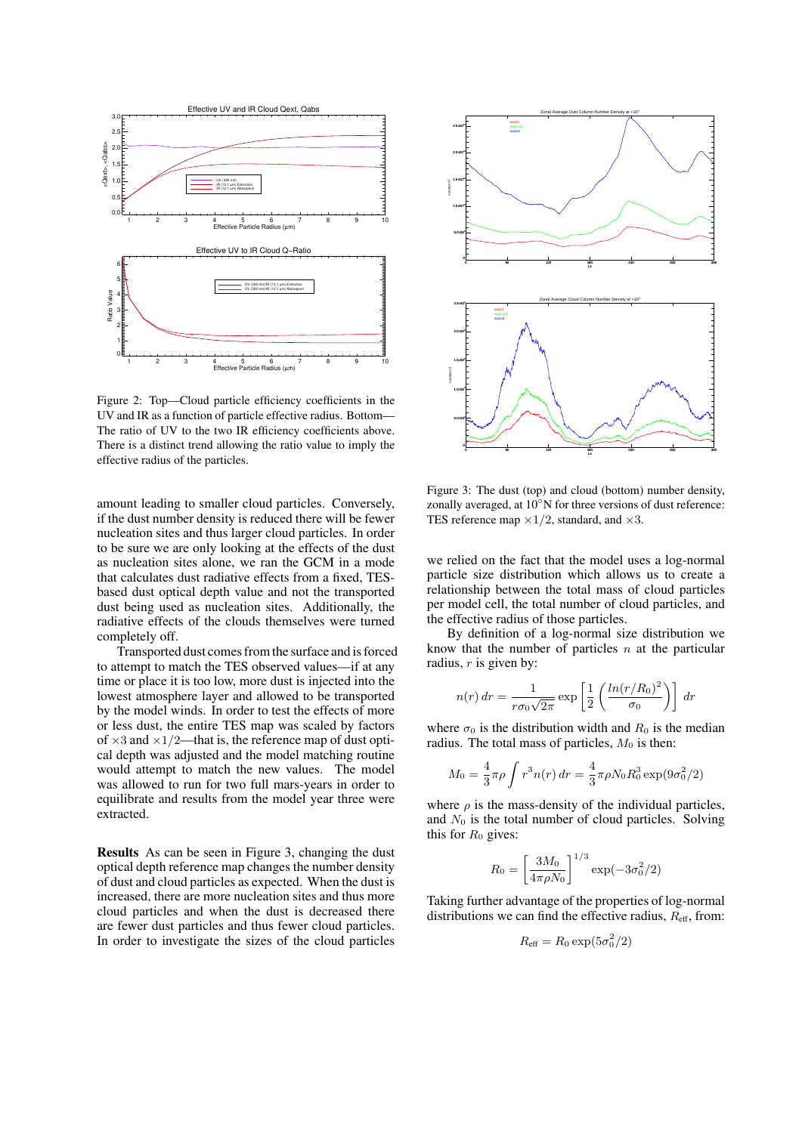

Figure 2: Top—Cloud particle efficiency coefficients in the UV and IR as a function of particle effective radius. Bottom— The ratio of UV to the two IR efficiency coefficients above. There is a distinct trend allowing the ratio value to imply the effective radius of the particles.

amount leading to smaller cloud particles. Conversely, if the dust number density is reduced there will be fewer nucleation sites and thus larger cloud particles. In order to be sure we are only looking at the effects of the dust as nucleation sites alone, we ran the GCM in a mode that calculates dust radiative effects from a fixed, TESbased dust optical depth value and not the transported dust being used as nucleation sites. Additionally, the radiative effects of the clouds themselves were turned completely off.

Transported dust comes from the surface and is forced to attempt to match the TES observed values—if at any time or place it is too low, more dust is injected into the lowest atmosphere layer and allowed to be transported by the model winds. In order to test the effects of more or less dust, the entire TES map was scaled by factors of  $\times$ 3 and  $\times$ 1/2—that is, the reference map of dust optical depth was adjusted and the model matching routine would attempt to match the new values. The model was allowed to run for two full mars-years in order to equilibrate and results from the model year three were extracted.

Results As can be seen in Figure 3, changing the dust optical depth reference map changes the number density of dust and cloud particles as expected. When the dust is increased, there are more nucleation sites and thus more cloud particles and when the dust is decreased there are fewer dust particles and thus fewer cloud particles. In order to investigate the sizes of the cloud particles



Figure 3: The dust (top) and cloud (bottom) number density, zonally averaged, at 10◦N for three versions of dust reference: TES reference map  $\times 1/2$ , standard, and  $\times 3$ .

we relied on the fact that the model uses a log-normal particle size distribution which allows us to create a relationship between the total mass of cloud particles per model cell, the total number of cloud particles, and the effective radius of those particles.

By definition of a log-normal size distribution we know that the number of particles  $n$  at the particular radius,  $r$  is given by:

$$
n(r) dr = \frac{1}{r\sigma_0\sqrt{2\pi}} \exp\left[\frac{1}{2}\left(\frac{\ln(r/R_0)^2}{\sigma_0}\right)\right] dr
$$

where  $\sigma_0$  is the distribution width and  $R_0$  is the median radius. The total mass of particles,  $M_0$  is then:

$$
M_0 = \frac{4}{3}\pi\rho \int r^3 n(r) dr = \frac{4}{3}\pi\rho N_0 R_0^3 \exp(9\sigma_0^2/2)
$$

where  $\rho$  is the mass-density of the individual particles, and  $N_0$  is the total number of cloud particles. Solving this for  $R_0$  gives:

$$
R_0 = \left[\frac{3M_0}{4\pi\rho N_0}\right]^{1/3} \exp(-3\sigma_0^2/2)
$$

Taking further advantage of the properties of log-normal distributions we can find the effective radius,  $R_{\text{eff}}$ , from:

$$
R_{\rm eff}=R_0\exp(5\sigma_0^2/2)
$$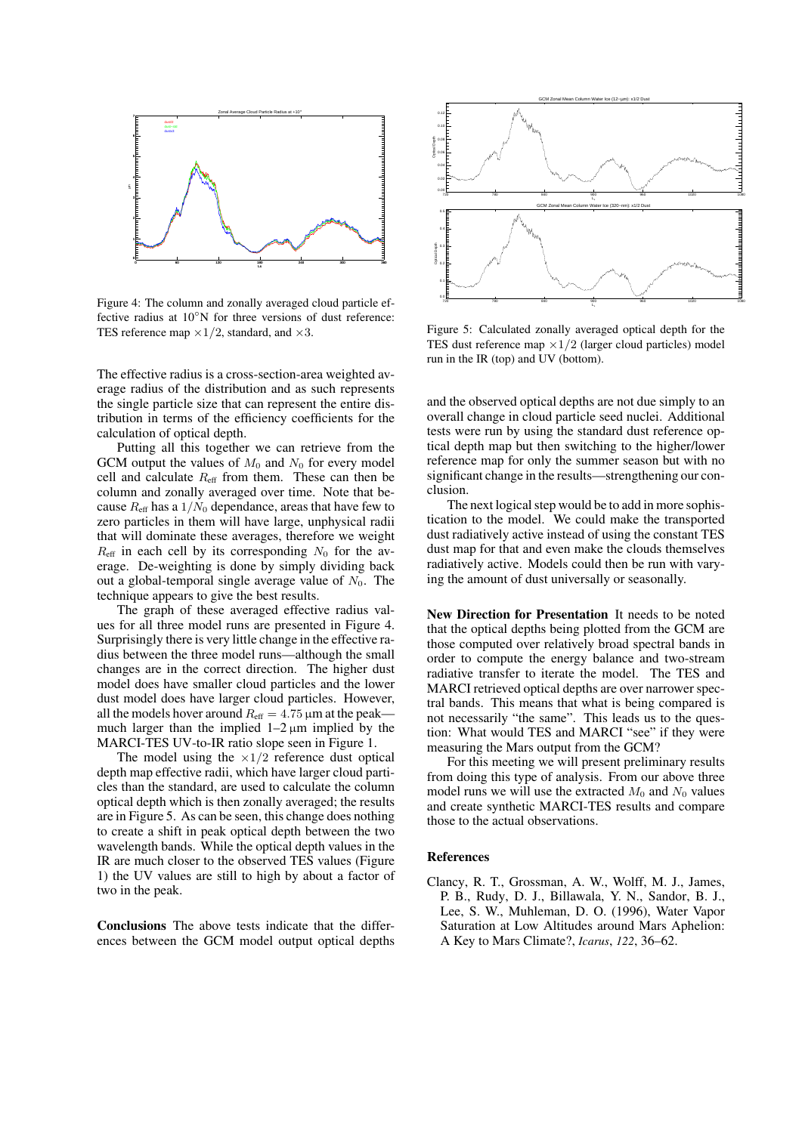

Figure 4: The column and zonally averaged cloud particle effective radius at 10<sup>°</sup>N for three versions of dust reference: TES reference map  $\times 1/2$ , standard, and  $\times 3$ .

The effective radius is a cross-section-area weighted average radius of the distribution and as such represents the single particle size that can represent the entire distribution in terms of the efficiency coefficients for the calculation of optical depth.

Putting all this together we can retrieve from the GCM output the values of  $M_0$  and  $N_0$  for every model cell and calculate  $R_{\text{eff}}$  from them. These can then be column and zonally averaged over time. Note that because  $R_{\text{eff}}$  has a  $1/N_0$  dependance, areas that have few to zero particles in them will have large, unphysical radii that will dominate these averages, therefore we weight  $R_{\text{eff}}$  in each cell by its corresponding  $N_0$  for the average. De-weighting is done by simply dividing back out a global-temporal single average value of  $N_0$ . The technique appears to give the best results.

The graph of these averaged effective radius values for all three model runs are presented in Figure 4. Surprisingly there is very little change in the effective radius between the three model runs—although the small changes are in the correct direction. The higher dust model does have smaller cloud particles and the lower dust model does have larger cloud particles. However, all the models hover around  $R_{\text{eff}} = 4.75 \,\mu \text{m}$  at the peak much larger than the implied  $1-2 \mu m$  implied by the MARCI-TES UV-to-IR ratio slope seen in Figure 1.

The model using the  $\times 1/2$  reference dust optical depth map effective radii, which have larger cloud particles than the standard, are used to calculate the column optical depth which is then zonally averaged; the results are in Figure 5. As can be seen, this change does nothing to create a shift in peak optical depth between the two wavelength bands. While the optical depth values in the IR are much closer to the observed TES values (Figure 1) the UV values are still to high by about a factor of two in the peak.

Conclusions The above tests indicate that the differences between the GCM model output optical depths



Figure 5: Calculated zonally averaged optical depth for the TES dust reference map  $\times 1/2$  (larger cloud particles) model run in the IR (top) and UV (bottom).

and the observed optical depths are not due simply to an overall change in cloud particle seed nuclei. Additional tests were run by using the standard dust reference optical depth map but then switching to the higher/lower reference map for only the summer season but with no significant change in the results—strengthening our conclusion.

The next logical step would be to add in more sophistication to the model. We could make the transported dust radiatively active instead of using the constant TES dust map for that and even make the clouds themselves radiatively active. Models could then be run with varying the amount of dust universally or seasonally.

New Direction for Presentation It needs to be noted that the optical depths being plotted from the GCM are those computed over relatively broad spectral bands in order to compute the energy balance and two-stream radiative transfer to iterate the model. The TES and MARCI retrieved optical depths are over narrower spectral bands. This means that what is being compared is not necessarily "the same". This leads us to the question: What would TES and MARCI "see" if they were measuring the Mars output from the GCM?

For this meeting we will present preliminary results from doing this type of analysis. From our above three model runs we will use the extracted  $M_0$  and  $N_0$  values and create synthetic MARCI-TES results and compare those to the actual observations.

## References

Clancy, R. T., Grossman, A. W., Wolff, M. J., James, P. B., Rudy, D. J., Billawala, Y. N., Sandor, B. J., Lee, S. W., Muhleman, D. O. (1996), Water Vapor Saturation at Low Altitudes around Mars Aphelion: A Key to Mars Climate?, *Icarus*, *122*, 36–62.